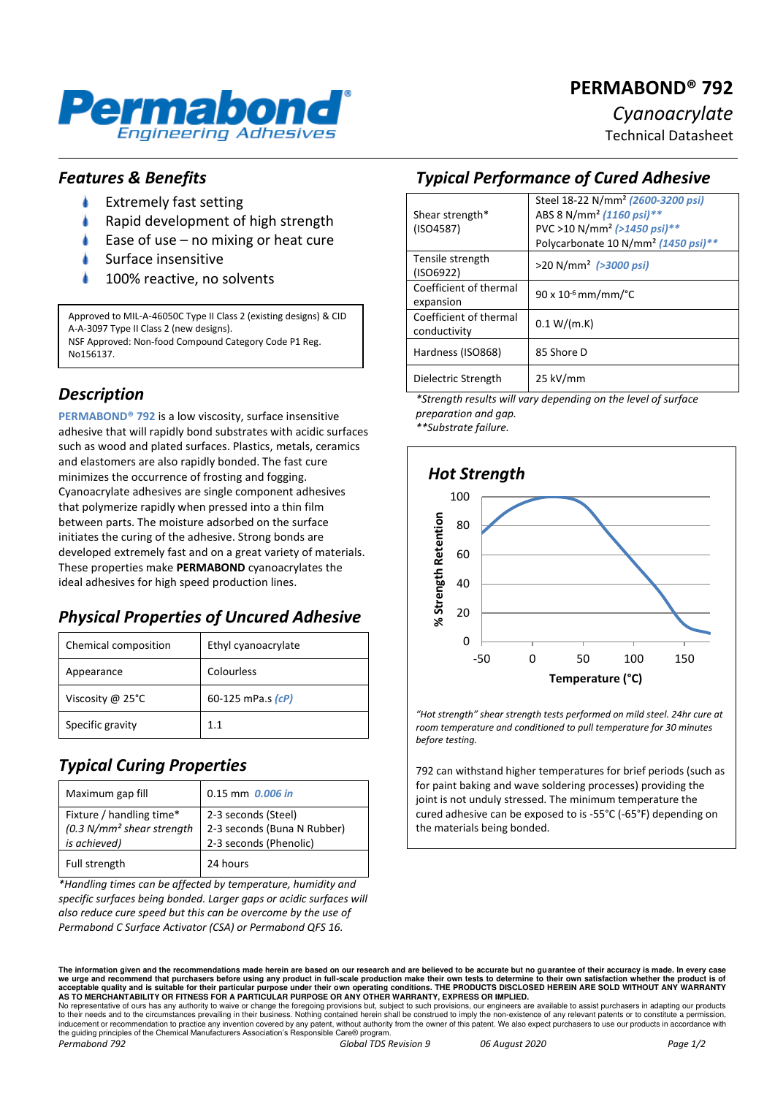

# **PERMABOND® 792**

*Cyanoacrylate* 

Technical Datasheet

#### *Features & Benefits*

- ۸ Extremely fast setting
- Rapid development of high strength
- Ease of use no mixing or heat cure
- Surface insensitive
- 100% reactive, no solvents

Approved to MIL-A-46050C Type II Class 2 (existing designs) & CID A-A-3097 Type II Class 2 (new designs). NSF Approved: Non-food Compound Category Code P1 Reg. No156137.

## *Description*

**PERMABOND® 792** is a low viscosity, surface insensitive adhesive that will rapidly bond substrates with acidic surfaces such as wood and plated surfaces. Plastics, metals, ceramics and elastomers are also rapidly bonded. The fast cure minimizes the occurrence of frosting and fogging. Cyanoacrylate adhesives are single component adhesives that polymerize rapidly when pressed into a thin film between parts. The moisture adsorbed on the surface initiates the curing of the adhesive. Strong bonds are developed extremely fast and on a great variety of materials. These properties make **PERMABOND** cyanoacrylates the ideal adhesives for high speed production lines.

# *Physical Properties of Uncured Adhesive*

| Chemical composition | Ethyl cyanoacrylate |
|----------------------|---------------------|
| Appearance           | Colourless          |
| Viscosity @ 25°C     | 60-125 mPa.s $(cP)$ |
| Specific gravity     | 11                  |

# *Typical Curing Properties*

| Maximum gap fill                                                                   | $0.15$ mm $0.006$ in                                                         |
|------------------------------------------------------------------------------------|------------------------------------------------------------------------------|
| Fixture / handling time*<br>(0.3 N/mm <sup>2</sup> shear strength)<br>is achieved) | 2-3 seconds (Steel)<br>2-3 seconds (Buna N Rubber)<br>2-3 seconds (Phenolic) |
| Full strength                                                                      | 24 hours                                                                     |

*\*Handling times can be affected by temperature, humidity and specific surfaces being bonded. Larger gaps or acidic surfaces will also reduce cure speed but this can be overcome by the use of Permabond C Surface Activator (CSA) or Permabond QFS 16.* 

## *Typical Performance of Cured Adhesive*

|                        | Steel 18-22 N/mm <sup>2</sup> (2600-3200 psi)   |  |
|------------------------|-------------------------------------------------|--|
| Shear strength*        | ABS 8 N/mm <sup>2</sup> (1160 psi)**            |  |
| (ISO4587)              | PVC >10 N/mm <sup>2</sup> (>1450 psi)**         |  |
|                        | Polycarbonate 10 N/mm <sup>2</sup> (1450 psi)** |  |
| Tensile strength       | $>$ 20 N/mm <sup>2</sup> ( $>$ 3000 psi)        |  |
| (ISO6922)              |                                                 |  |
| Coefficient of thermal | $90 \times 10^{-6}$ mm/mm/ $^{\circ}$ C         |  |
| expansion              |                                                 |  |
| Coefficient of thermal | 0.1 W/(m.K)                                     |  |
| conductivity           |                                                 |  |
| Hardness (ISO868)      | 85 Shore D                                      |  |
|                        |                                                 |  |
| Dielectric Strength    | 25 kV/mm                                        |  |
|                        |                                                 |  |

*\*Strength results will vary depending on the level of surface preparation and gap.* 

*\*\*Substrate failure.* 



*"Hot strength" shear strength tests performed on mild steel. 24hr cure at room temperature and conditioned to pull temperature for 30 minutes before testing.* 

792 can withstand higher temperatures for brief periods (such as for paint baking and wave soldering processes) providing the joint is not unduly stressed. The minimum temperature the cured adhesive can be exposed to is -55°C (-65°F) depending on the materials being bonded.

The information given and the recommendations made herein are based on our research and are believed to be accurate but no guarantee of their accuracy is made. In every case<br>we urge and recommend that purchasers before usi

No representative of ours has any authority to waive or change the foregoing provisions but, subject to such provisions, our engineers are available to assist purchasers in adapting our products<br>to their needs and to the c the guiding principles of the Chemical Manufacturers Association's Responsible Care® program.<br>Permabond 792 Global TDS